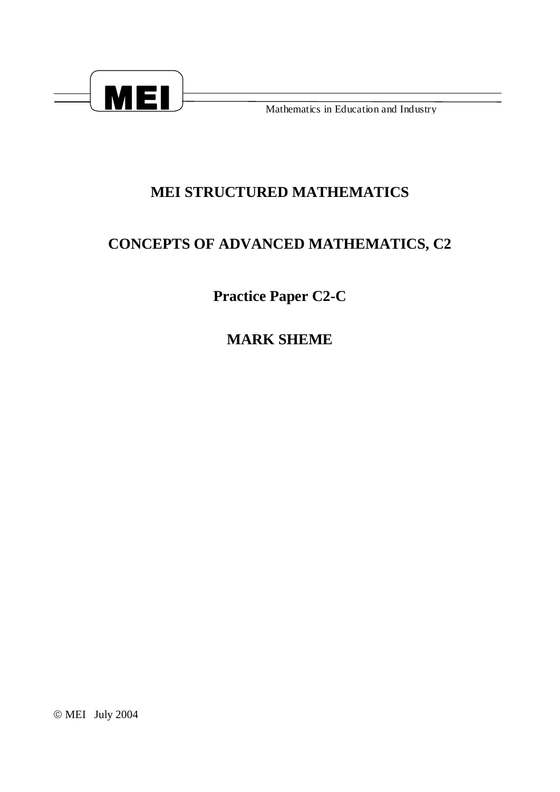

Mathematics in Education and Industry

## MEI STRUCTURED MATHEMATICS

## **CONCEPTS OF ADVANCED MATHEMATICS, C2**

**Practice Paper C2-C** 

**MARK SHEME** 

© MEI July 2004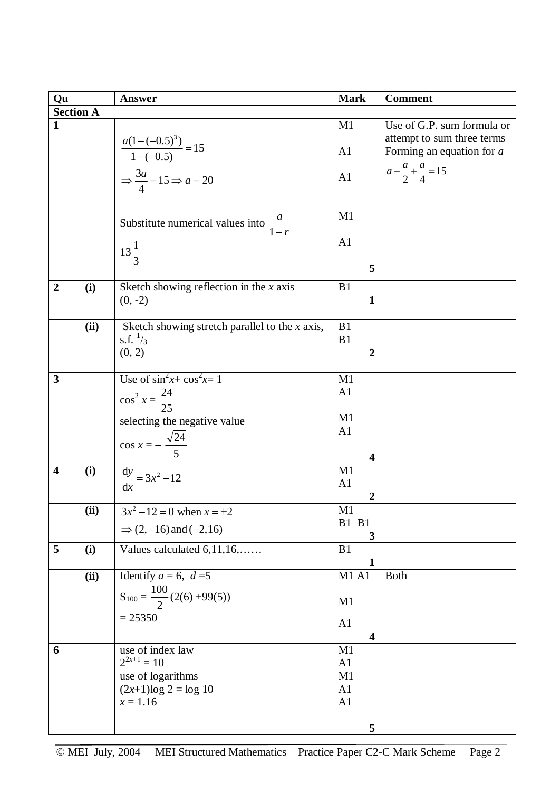| Qu                      |      | <b>Answer</b>                                      | <b>Mark</b>                   | <b>Comment</b>                       |  |  |
|-------------------------|------|----------------------------------------------------|-------------------------------|--------------------------------------|--|--|
| <b>Section A</b>        |      |                                                    |                               |                                      |  |  |
| $\mathbf{1}$            |      |                                                    | M1                            | Use of G.P. sum formula or           |  |  |
|                         |      |                                                    |                               | attempt to sum three terms           |  |  |
|                         |      | $\frac{a(1-(-0.5)^3)}{1-(-0.5)} = 15$              | A1                            | Forming an equation for $a$          |  |  |
|                         |      | $\Rightarrow \frac{3a}{4} = 15 \Rightarrow a = 20$ | A1                            | $a - \frac{a}{2} + \frac{a}{4} = 15$ |  |  |
|                         |      |                                                    |                               |                                      |  |  |
|                         |      |                                                    |                               |                                      |  |  |
|                         |      |                                                    | M1                            |                                      |  |  |
|                         |      | Substitute numerical values into $\frac{a}{1-r}$   |                               |                                      |  |  |
|                         |      |                                                    | A1                            |                                      |  |  |
|                         |      | $13\frac{1}{3}$                                    | 5                             |                                      |  |  |
|                         |      |                                                    |                               |                                      |  |  |
| $\overline{2}$          | (i)  | Sketch showing reflection in the $x$ axis          | B1                            |                                      |  |  |
|                         |      | $(0, -2)$                                          | $\mathbf{1}$                  |                                      |  |  |
|                         | (ii) | Sketch showing stretch parallel to the $x$ axis,   | B1                            |                                      |  |  |
|                         |      | s.f. $\frac{1}{3}$                                 | B1                            |                                      |  |  |
|                         |      | (0, 2)                                             | $\overline{2}$                |                                      |  |  |
|                         |      |                                                    |                               |                                      |  |  |
| 3                       |      | Use of $\sin^2 x + \cos^2 x = 1$                   | M1                            |                                      |  |  |
|                         |      | $\cos^2 x = \frac{24}{25}$                         | A1                            |                                      |  |  |
|                         |      |                                                    | M1                            |                                      |  |  |
|                         |      | selecting the negative value                       | A1                            |                                      |  |  |
|                         |      | $\cos x = -\frac{\sqrt{24}}{5}$                    |                               |                                      |  |  |
|                         |      |                                                    | 4                             |                                      |  |  |
| $\overline{\mathbf{4}}$ | (i)  | $\frac{dy}{dx} = 3x^2 - 12$                        | M1                            |                                      |  |  |
|                         |      |                                                    | A1                            |                                      |  |  |
|                         | (ii) | $3x^2 - 12 = 0$ when $x = \pm 2$                   | 2<br>M1                       |                                      |  |  |
|                         |      |                                                    | <b>B1 B1</b>                  |                                      |  |  |
|                         |      | $\Rightarrow$ (2, -16) and (-2,16)                 | 3                             |                                      |  |  |
| 5                       | (i)  | Values calculated 6,11,16,                         | B1                            |                                      |  |  |
|                         |      |                                                    | $\mathbf{1}$                  |                                      |  |  |
|                         | (ii) | Identify $a = 6$ , $d = 5$                         | <b>M1 A1</b>                  | <b>Both</b>                          |  |  |
|                         |      | $S_{100} = \frac{100}{2} (2(6) +99(5))$            | M1                            |                                      |  |  |
|                         |      | $= 25350$                                          |                               |                                      |  |  |
|                         |      |                                                    | A1                            |                                      |  |  |
| 6                       |      | use of index law                                   | $\overline{\mathbf{4}}$<br>M1 |                                      |  |  |
|                         |      | $2^{2x+1} = 10$                                    | A1                            |                                      |  |  |
|                         |      | use of logarithms                                  | M1                            |                                      |  |  |
|                         |      | $(2x+1)log 2 = log 10$                             | A1                            |                                      |  |  |
|                         |      | $x = 1.16$                                         | A1                            |                                      |  |  |
|                         |      |                                                    |                               |                                      |  |  |
|                         |      |                                                    | 5                             |                                      |  |  |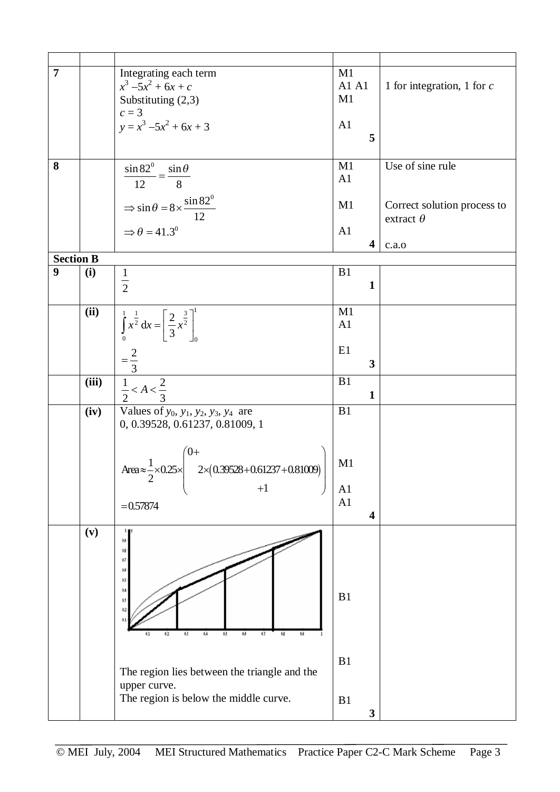| $\overline{7}$   |       | Integrating each term                                                                                  | M1   |              |                              |
|------------------|-------|--------------------------------------------------------------------------------------------------------|------|--------------|------------------------------|
|                  |       |                                                                                                        |      |              |                              |
|                  |       | $x^3 - 5x^2 + 6x + c$                                                                                  | A1A1 |              | 1 for integration, 1 for $c$ |
|                  |       | Substituting (2,3)                                                                                     | M1   |              |                              |
|                  |       | $c=3$                                                                                                  |      |              |                              |
|                  |       | $y = x^3 -5x^2 + 6x + 3$                                                                               | A1   |              |                              |
|                  |       |                                                                                                        |      | 5            |                              |
|                  |       |                                                                                                        |      |              |                              |
|                  |       |                                                                                                        |      |              |                              |
| 8                |       | $\frac{\sin 82^0}{\sin 82^0} = \frac{\sin 6}{\cos 6}$<br>$\sin\theta$                                  | M1   |              | Use of sine rule             |
|                  |       | $-\overline{8}$<br>12                                                                                  | A1   |              |                              |
|                  |       |                                                                                                        |      |              |                              |
|                  |       |                                                                                                        | M1   |              | Correct solution process to  |
|                  |       | $\Rightarrow \sin \theta = 8 \times \frac{\sin 82^{\circ}}{12}$<br>$\Rightarrow \theta = 41.3^{\circ}$ |      |              |                              |
|                  |       |                                                                                                        |      |              | extract $\theta$             |
|                  |       |                                                                                                        | A1   |              |                              |
|                  |       |                                                                                                        |      | 4            | c.a.0                        |
| <b>Section B</b> |       |                                                                                                        |      |              |                              |
| 9                | (i)   |                                                                                                        | B1   |              |                              |
|                  |       | $\frac{1}{2}$                                                                                          |      | $\mathbf{1}$ |                              |
|                  |       |                                                                                                        |      |              |                              |
|                  |       |                                                                                                        | M1   |              |                              |
|                  | (ii)  |                                                                                                        |      |              |                              |
|                  |       | $\int_{0}^{1} x^{\frac{1}{2}} dx = \left[\frac{2}{3}x^{\frac{3}{2}}\right]_{0}^{1}$                    | A1   |              |                              |
|                  |       |                                                                                                        |      |              |                              |
|                  |       |                                                                                                        | E1   |              |                              |
|                  |       | $=\frac{2}{3}$                                                                                         |      | $\mathbf{3}$ |                              |
|                  |       |                                                                                                        |      |              |                              |
|                  | (iii) | $\frac{1}{2} < A < \frac{2}{3}$                                                                        | B1   |              |                              |
|                  |       |                                                                                                        |      | $\mathbf{1}$ |                              |
|                  | (iv)  | Values of $y_0$ , $y_1$ , $y_2$ , $y_3$ , $y_4$ are                                                    | B1   |              |                              |
|                  |       | 0, 0.39528, 0.61237, 0.81009, 1                                                                        |      |              |                              |
|                  |       |                                                                                                        |      |              |                              |
|                  |       |                                                                                                        |      |              |                              |
|                  |       | $^{(0+)}$                                                                                              |      |              |                              |
|                  |       | ++<br>2×(0.39528+0.61237+0.81009)                                                                      | M1   |              |                              |
|                  |       | Area $\approx \frac{1}{2} \times 0.25 \times$                                                          |      |              |                              |
|                  |       | $+1$                                                                                                   | A1   |              |                              |
|                  |       | $= 0.57874$                                                                                            | A1   |              |                              |
|                  |       |                                                                                                        |      | 4            |                              |
|                  | (v)   |                                                                                                        |      |              |                              |
|                  |       |                                                                                                        |      |              |                              |
|                  |       | 鱰                                                                                                      |      |              |                              |
|                  |       | $^{12}$                                                                                                |      |              |                              |
|                  |       | 誠                                                                                                      |      |              |                              |
|                  |       | ۵Ś                                                                                                     |      |              |                              |
|                  |       | $\mathfrak{g}_{\mathcal{A}}$                                                                           | B1   |              |                              |
|                  |       | 93                                                                                                     |      |              |                              |
|                  |       |                                                                                                        |      |              |                              |
|                  |       |                                                                                                        |      |              |                              |
|                  |       | ю<br>Ú4<br>13<br>м<br>Ü<br>м<br>42<br>ш                                                                |      |              |                              |
|                  |       |                                                                                                        |      |              |                              |
|                  |       |                                                                                                        | B1   |              |                              |
|                  |       | The region lies between the triangle and the                                                           |      |              |                              |
|                  |       | upper curve.                                                                                           |      |              |                              |
|                  |       | The region is below the middle curve.                                                                  | B1   |              |                              |
|                  |       |                                                                                                        |      | $\mathbf{3}$ |                              |
|                  |       |                                                                                                        |      |              |                              |